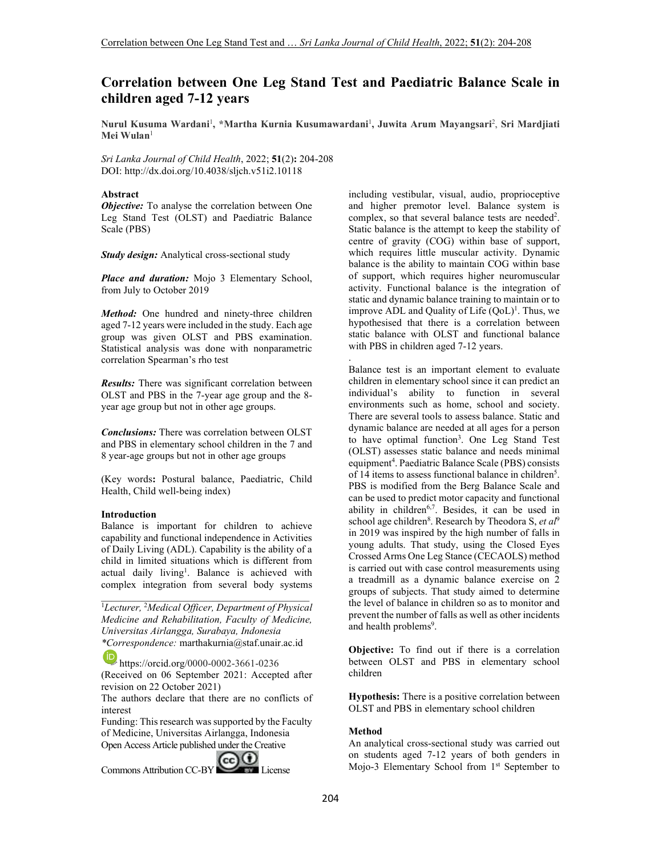# **Correlation between One Leg Stand Test and Paediatric Balance Scale in children aged 7-12 years**

**Nurul Kusuma Wardani**<sup>1</sup> **, \*Martha Kurnia Kusumawardani**<sup>1</sup> **, Juwita Arum Mayangsari**<sup>2</sup> , **Sri Mardjiati Mei Wulan**<sup>1</sup>

*Sri Lanka Journal of Child Health*, 2022; **51**(2)**:** 204-208 DOI: http://dx.doi.org/10.4038/sljch.v51i2.10118

## **Abstract**

*Objective:* To analyse the correlation between One Leg Stand Test (OLST) and Paediatric Balance Scale (PBS)

*Study design:* Analytical cross-sectional study

*Place and duration:* Mojo 3 Elementary School, from July to October 2019

*Method:* One hundred and ninety-three children aged 7-12 years were included in the study. Each age group was given OLST and PBS examination. Statistical analysis was done with nonparametric correlation Spearman's rho test

*Results:* There was significant correlation between OLST and PBS in the 7-year age group and the 8 year age group but not in other age groups.

*Conclusions:* There was correlation between OLST and PBS in elementary school children in the 7 and 8 year-age groups but not in other age groups

(Key words**:** Postural balance, Paediatric, Child Health, Child well-being index)

#### **Introduction**

Balance is important for children to achieve capability and functional independence in Activities of Daily Living (ADL). Capability is the ability of a child in limited situations which is different from actual daily living<sup>1</sup>. Balance is achieved with complex integration from several body systems

<sup>1</sup>*Lecturer,* <sup>2</sup>*Medical Officer, Department of Physical Medicine and Rehabilitation, Faculty of Medicine, Universitas Airlangga, Surabaya, Indonesia \*Correspondence:* marthakurnia@staf.unair.ac.id

https://orcid.org/0000-0002-3661-0236

(Received on 06 September 2021: Accepted after revision on 22 October 2021)

The authors declare that there are no conflicts of interest

Funding: This research was supported by the Faculty of Medicine, Universitas Airlangga, Indonesia Open Access Article published under the Creative

Commons Attribution CC-BY CO License

including vestibular, visual, audio, proprioceptive and higher premotor level. Balance system is complex, so that several balance tests are needed<sup>2</sup>. Static balance is the attempt to keep the stability of centre of gravity (COG) within base of support, which requires little muscular activity. Dynamic balance is the ability to maintain COG within base of support, which requires higher neuromuscular activity. Functional balance is the integration of static and dynamic balance training to maintain or to improve ADL and Quality of Life  $(QoL)^{1}$ . Thus, we hypothesised that there is a correlation between static balance with OLST and functional balance with PBS in children aged 7-12 years.

. Balance test is an important element to evaluate children in elementary school since it can predict an individual's ability to function in several environments such as home, school and society. There are several tools to assess balance. Static and dynamic balance are needed at all ages for a person to have optimal function<sup>3</sup>. One Leg Stand Test (OLST) assesses static balance and needs minimal equipment<sup>4</sup>. Paediatric Balance Scale (PBS) consists of 14 items to assess functional balance in children 5 . PBS is modified from the Berg Balance Scale and can be used to predict motor capacity and functional ability in children<sup>6,7</sup>. Besides, it can be used in school age children<sup>8</sup>. Research by Theodora S, *et al*<sup>9</sup> in 2019 was inspired by the high number of falls in young adults. That study, using the Closed Eyes Crossed Arms One Leg Stance (CECAOLS) method is carried out with case control measurements using a treadmill as a dynamic balance exercise on 2 groups of subjects. That study aimed to determine the level of balance in children so as to monitor and prevent the number of falls as well as other incidents and health problems<sup>9</sup>.

**Objective:** To find out if there is a correlation between OLST and PBS in elementary school children

**Hypothesis:** There is a positive correlation between OLST and PBS in elementary school children

# **Method**

An analytical cross-sectional study was carried out on students aged 7-12 years of both genders in Mojo-3 Elementary School from 1<sup>st</sup> September to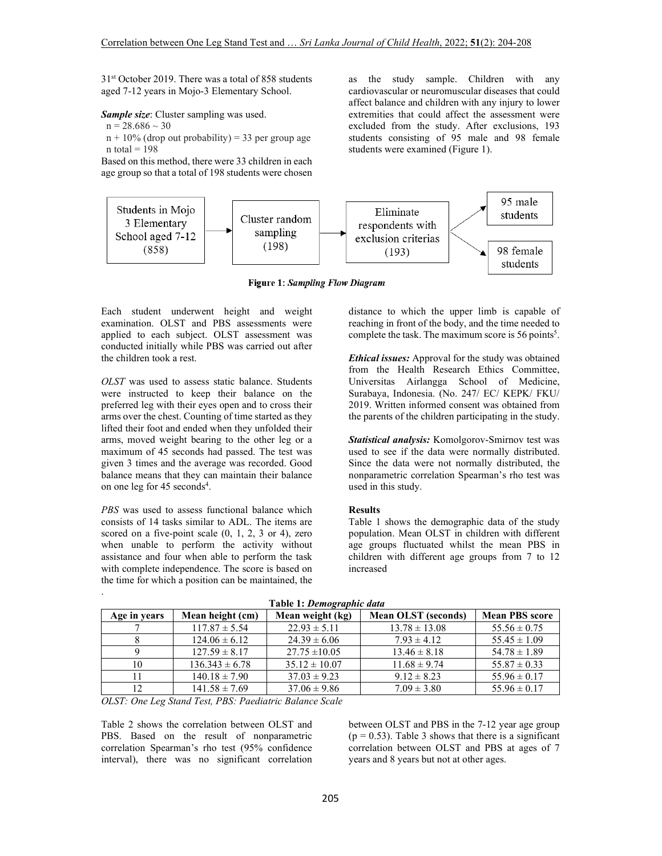31st October 2019. There was a total of 858 students aged 7-12 years in Mojo-3 Elementary School.

*Sample size*: Cluster sampling was used.

 $n = 28.686 \sim 30$ 

 $n + 10\%$  (drop out probability) = 33 per group age  $n$  total = 198

Based on this method, there were 33 children in each age group so that a total of 198 students were chosen



**Figure 1: Sampling Flow Diagram** 

Each student underwent height and weight examination. OLST and PBS assessments were applied to each subject. OLST assessment was conducted initially while PBS was carried out after the children took a rest.

*OLST* was used to assess static balance. Students were instructed to keep their balance on the preferred leg with their eyes open and to cross their arms over the chest. Counting of time started as they lifted their foot and ended when they unfolded their arms, moved weight bearing to the other leg or a maximum of 45 seconds had passed. The test was given 3 times and the average was recorded. Good balance means that they can maintain their balance on one leg for 45 seconds<sup>4</sup>.

*PBS* was used to assess functional balance which consists of 14 tasks similar to ADL. The items are scored on a five-point scale  $(0, 1, 2, 3)$  or 4), zero when unable to perform the activity without assistance and four when able to perform the task with complete independence. The score is based on the time for which a position can be maintained, the

.

distance to which the upper limb is capable of reaching in front of the body, and the time needed to complete the task. The maximum score is  $56$  points<sup>5</sup>.

as the study sample. Children with any cardiovascular or neuromuscular diseases that could affect balance and children with any injury to lower extremities that could affect the assessment were excluded from the study. After exclusions, 193 students consisting of 95 male and 98 female

students were examined (Figure 1).

*Ethical issues:* Approval for the study was obtained from the Health Research Ethics Committee, Universitas Airlangga School of Medicine, Surabaya, Indonesia. (No. 247/ EC/ KEPK/ FKU/ 2019. Written informed consent was obtained from the parents of the children participating in the study.

*Statistical analysis:* Komolgorov-Smirnov test was used to see if the data were normally distributed. Since the data were not normally distributed, the nonparametric correlation Spearman's rho test was used in this study.

## **Results**

Table 1 shows the demographic data of the study population. Mean OLST in children with different age groups fluctuated whilst the mean PBS in children with different age groups from 7 to 12 increased

| $\ldots$     |                    |                   |                            |                       |  |
|--------------|--------------------|-------------------|----------------------------|-----------------------|--|
| Age in years | Mean height (cm)   | Mean weight (kg)  | <b>Mean OLST</b> (seconds) | <b>Mean PBS score</b> |  |
|              | $117.87 \pm 5.54$  | $22.93 \pm 5.11$  | $13.78 \pm 13.08$          | $55.56 \pm 0.75$      |  |
|              | $124.06 \pm 6.12$  | $24.39 \pm 6.06$  | $7.93 \pm 4.12$            | $55.45 \pm 1.09$      |  |
|              | $127.59 \pm 8.17$  | $27.75 \pm 10.05$ | $13.46 \pm 8.18$           | $54.78 \pm 1.89$      |  |
| 10           | $136.343 \pm 6.78$ | $35.12 \pm 10.07$ | $11.68 \pm 9.74$           | $55.87 \pm 0.33$      |  |
|              | $140.18 \pm 7.90$  | $37.03 \pm 9.23$  | $9.12 \pm 8.23$            | $55.96 \pm 0.17$      |  |
| 12           | $141.58 \pm 7.69$  | $37.06 \pm 9.86$  | $7.09 \pm 3.80$            | $55.96 \pm 0.17$      |  |

 **Table 1:** *Demographic data*

*OLST: One Leg Stand Test, PBS: Paediatric Balance Scale* 

Table 2 shows the correlation between OLST and PBS. Based on the result of nonparametric correlation Spearman's rho test (95% confidence interval), there was no significant correlation

between OLST and PBS in the 7-12 year age group  $(p = 0.53)$ . Table 3 shows that there is a significant correlation between OLST and PBS at ages of 7 years and 8 years but not at other ages.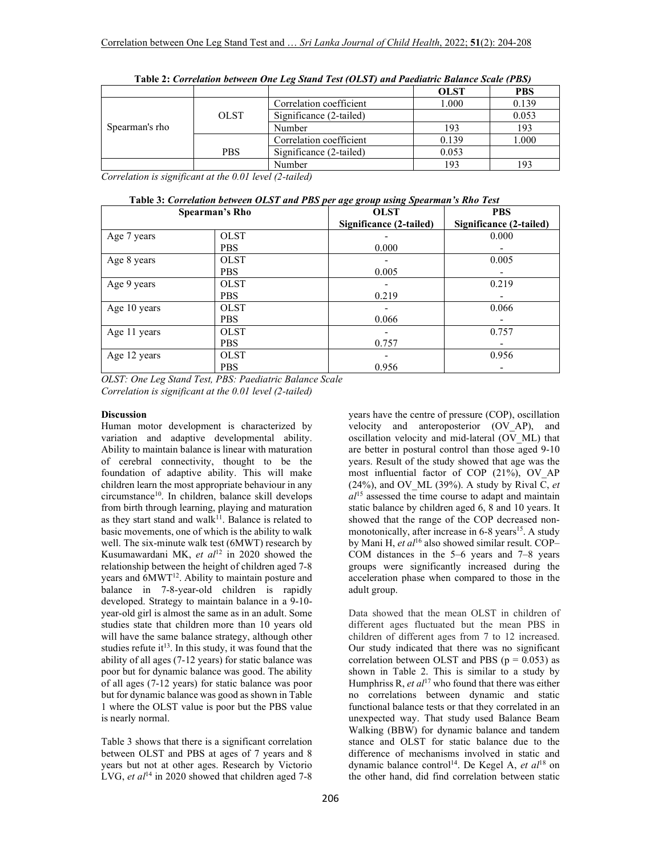|                |             |                         | <b>OLST</b> | <b>PBS</b> |
|----------------|-------------|-------------------------|-------------|------------|
|                | <b>OLST</b> | Correlation coefficient | 1.000       | 0.139      |
| Spearman's rho |             | Significance (2-tailed) |             | 0.053      |
|                |             | Number                  | 193         | 193        |
|                | <b>PBS</b>  | Correlation coefficient | 0.139       | 1.000      |
|                |             | Significance (2-tailed) | 0.053       |            |
|                |             | Number                  | 193         | 193        |

| Table 2: Correlation between One Leg Stand Test (OLST) and Paediatric Balance Scale (PBS) |  |  |  |
|-------------------------------------------------------------------------------------------|--|--|--|
|-------------------------------------------------------------------------------------------|--|--|--|

*Correlation is significant at the 0.01 level (2-tailed)* 

| Table 3: Correlation between OLST and PBS per age group using Spearman's Rho Test |                                                          |                         |                         |  |  |
|-----------------------------------------------------------------------------------|----------------------------------------------------------|-------------------------|-------------------------|--|--|
| <b>Spearman's Rho</b>                                                             |                                                          | <b>OLST</b>             | <b>PBS</b>              |  |  |
|                                                                                   |                                                          | Significance (2-tailed) | Significance (2-tailed) |  |  |
| Age 7 years                                                                       | <b>OLST</b>                                              |                         | 0.000                   |  |  |
|                                                                                   | <b>PBS</b>                                               | 0.000                   |                         |  |  |
| Age 8 years                                                                       | <b>OLST</b>                                              |                         | 0.005                   |  |  |
|                                                                                   | <b>PBS</b>                                               | 0.005                   |                         |  |  |
| Age 9 years                                                                       | <b>OLST</b>                                              |                         | 0.219                   |  |  |
|                                                                                   | <b>PBS</b>                                               | 0.219                   |                         |  |  |
| Age 10 years                                                                      | <b>OLST</b>                                              |                         | 0.066                   |  |  |
|                                                                                   | <b>PBS</b>                                               | 0.066                   |                         |  |  |
| Age 11 years                                                                      | <b>OLST</b>                                              |                         | 0.757                   |  |  |
|                                                                                   | <b>PBS</b>                                               | 0.757                   |                         |  |  |
| Age 12 years                                                                      | <b>OLST</b>                                              |                         | 0.956                   |  |  |
| $\alpha$ $\alpha$ $\alpha$ $\alpha$ $\alpha$ $\alpha$<br>$\sim$                   | <b>PBS</b><br>$\mathbf{r}$ , and the set of $\mathbf{r}$ | 0.956<br>$\sim$ $\sim$  |                         |  |  |

*OLST: One Leg Stand Test, PBS: Paediatric Balance Scale Correlation is significant at the 0.01 level (2-tailed)* 

#### **Discussion**

Human motor development is characterized by variation and adaptive developmental ability. Ability to maintain balance is linear with maturation of cerebral connectivity, thought to be the foundation of adaptive ability. This will make children learn the most appropriate behaviour in any circumstance<sup>10</sup>. In children, balance skill develops from birth through learning, playing and maturation as they start stand and walk $11$ . Balance is related to basic movements, one of which is the ability to walk well. The six-minute walk test (6MWT) research by Kusumawardani MK, *et al*<sup>12</sup> in 2020 showed the relationship between the height of children aged 7-8 years and 6MWT<sup>12</sup>. Ability to maintain posture and balance in 7-8-year-old children is rapidly developed. Strategy to maintain balance in a 9-10 year-old girl is almost the same as in an adult. Some studies state that children more than 10 years old will have the same balance strategy, although other studies refute it<sup>13</sup>. In this study, it was found that the ability of all ages (7-12 years) for static balance was poor but for dynamic balance was good. The ability of all ages (7-12 years) for static balance was poor but for dynamic balance was good as shown in Table 1 where the OLST value is poor but the PBS value is nearly normal.

Table 3 shows that there is a significant correlation between OLST and PBS at ages of 7 years and 8 years but not at other ages. Research by Victorio LVG, *et al*<sup>14</sup> in 2020 showed that children aged 7-8

years have the centre of pressure (COP), oscillation velocity and anteroposterior (OV\_AP), and oscillation velocity and mid-lateral (OV\_ML) that are better in postural control than those aged 9-10 years. Result of the study showed that age was the most influential factor of COP (21%), OV\_AP (24%), and OV ML (39%). A study by Rival  $\overline{C}$ , *et al*<sup>15</sup> assessed the time course to adapt and maintain static balance by children aged 6, 8 and 10 years. It showed that the range of the COP decreased nonmonotonically, after increase in  $6-8$  years<sup>15</sup>. A study by Mani H, *et al*<sup>16</sup> also showed similar result. COP– COM distances in the 5–6 years and 7–8 years groups were significantly increased during the acceleration phase when compared to those in the adult group.

Data showed that the mean OLST in children of different ages fluctuated but the mean PBS in children of different ages from 7 to 12 increased. Our study indicated that there was no significant correlation between OLST and PBS ( $p = 0.053$ ) as shown in Table 2. This is similar to a study by Humphriss R, *et al*<sup>17</sup> who found that there was either no correlations between dynamic and static functional balance tests or that they correlated in an unexpected way. That study used Balance Beam Walking (BBW) for dynamic balance and tandem stance and OLST for static balance due to the difference of mechanisms involved in static and dynamic balance control<sup>14</sup>. De Kegel A, et al<sup>18</sup> on the other hand, did find correlation between static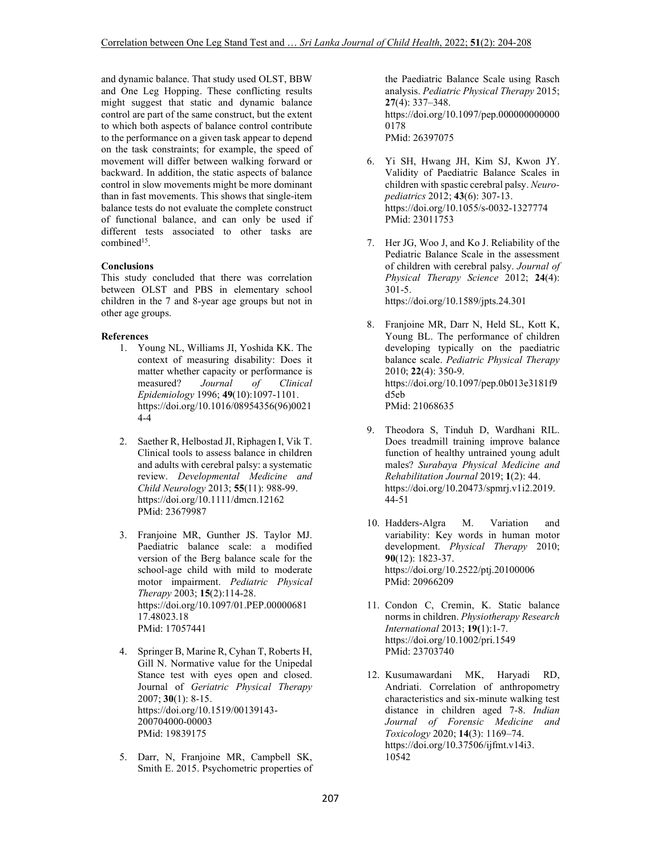and dynamic balance. That study used OLST, BBW and One Leg Hopping. These conflicting results might suggest that static and dynamic balance control are part of the same construct, but the extent to which both aspects of balance control contribute to the performance on a given task appear to depend on the task constraints; for example, the speed of movement will differ between walking forward or backward. In addition, the static aspects of balance control in slow movements might be more dominant than in fast movements. This shows that single-item balance tests do not evaluate the complete construct of functional balance, and can only be used if different tests associated to other tasks are combined<sup>15</sup>.

# **Conclusions**

This study concluded that there was correlation between OLST and PBS in elementary school children in the 7 and 8-year age groups but not in other age groups.

# **References**

- 1. Young NL, Williams JI, Yoshida KK. The context of measuring disability: Does it matter whether capacity or performance is measured? *Journal of Clinical Epidemiology* 1996; **49**(10):1097-1101. https://doi.org/10.1016/08954356(96)0021 4-4
- 2. Saether R, Helbostad JI, Riphagen I, Vik T. Clinical tools to assess balance in children and adults with cerebral palsy: a systematic review. *Developmental Medicine and Child Neurology* 2013; **55**(11): 988-99. https://doi.org/10.1111/dmcn.12162 PMid: 23679987
- 3. Franjoine MR, Gunther JS. Taylor MJ. Paediatric balance scale: a modified version of the Berg balance scale for the school-age child with mild to moderate motor impairment. *Pediatric Physical Therapy* 2003; **15**(2):114-28. https://doi.org/10.1097/01.PEP.00000681 17.48023.18 PMid: 17057441
- 4. Springer B, Marine R, Cyhan T, Roberts H, Gill N. Normative value for the Unipedal Stance test with eyes open and closed. Journal of *Geriatric Physical Therapy* 2007; **30**(1): 8-15. https://doi.org/10.1519/00139143- 200704000-00003 PMid: 19839175
- 5. Darr, N, Franjoine MR, Campbell SK, Smith E. 2015. Psychometric properties of

the Paediatric Balance Scale using Rasch analysis. *Pediatric Physical Therapy* 2015; **27**(4): 337–348. https://doi.org/10.1097/pep.000000000000 0178 PMid: 26397075

- 6. Yi SH, Hwang JH, Kim SJ, Kwon JY. Validity of Paediatric Balance Scales in children with spastic cerebral palsy. *Neuropediatrics* 2012; **43**(6): 307-13. https://doi.org/10.1055/s-0032-1327774 PMid: 23011753
- 7. Her JG, Woo J, and Ko J. Reliability of the Pediatric Balance Scale in the assessment of children with cerebral palsy. *Journal of Physical Therapy Science* 2012; **24**(4): 301-5. https://doi.org/10.1589/jpts.24.301

8. Franjoine MR, Darr N, Held SL, Kott K, Young BL. The performance of children developing typically on the paediatric balance scale. *Pediatric Physical Therapy* 2010; **22**(4): 350-9. https://doi.org/10.1097/pep.0b013e3181f9 d5eb PMid: 21068635

- 9. Theodora S, Tinduh D, Wardhani RIL. Does treadmill training improve balance function of healthy untrained young adult males? *Surabaya Physical Medicine and Rehabilitation Journal* 2019; **1**(2): 44. https://doi.org/10.20473/spmrj.v1i2.2019. 44-51
- 10. Hadders-Algra M. Variation and variability: Key words in human motor development. *Physical Therapy* 2010; **90**(12): 1823-37. https://doi.org/10.2522/ptj.20100006 PMid: 20966209
- 11. Condon C, Cremin, K. Static balance norms in children. *Physiotherapy Research International* 2013; **19(**1):1-7. https://doi.org/10.1002/pri.1549 PMid: 23703740
- 12. Kusumawardani MK, Haryadi RD, Andriati. Correlation of anthropometry characteristics and six-minute walking test distance in children aged 7-8. *Indian Journal of Forensic Medicine and Toxicology* 2020; **14**(3): 1169–74. https://doi.org/10.37506/ijfmt.v14i3. 10542